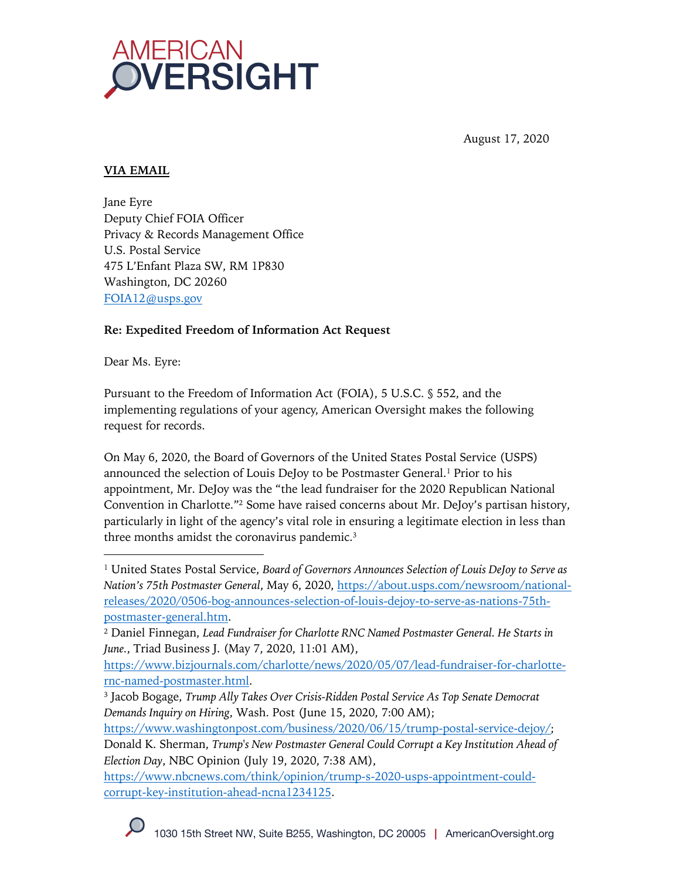

August 17, 2020

# **VIA EMAIL**

Jane Eyre Deputy Chief FOIA Officer Privacy & Records Management Office U.S. Postal Service 475 L'Enfant Plaza SW, RM 1P830 Washington, DC 20260 FOIA12@usps.gov

## **Re: Expedited Freedom of Information Act Request**

Dear Ms. Eyre:

Pursuant to the Freedom of Information Act (FOIA), 5 U.S.C. § 552, and the implementing regulations of your agency, American Oversight makes the following request for records.

On May 6, 2020, the Board of Governors of the United States Postal Service (USPS) announced the selection of Louis DeJoy to be Postmaster General.<sup>1</sup> Prior to his appointment, Mr. DeJoy was the "the lead fundraiser for the 2020 Republican National Convention in Charlotte."2 Some have raised concerns about Mr. DeJoy's partisan history, particularly in light of the agency's vital role in ensuring a legitimate election in less than three months amidst the coronavirus pandemic. 3

<sup>1</sup> United States Postal Service, *Board of Governors Announces Selection of Louis DeJoy to Serve as Nation's 75th Postmaster General*, May 6, 2020, https://about.usps.com/newsroom/nationalreleases/2020/0506-bog-announces-selection-of-louis-dejoy-to-serve-as-nations-75thpostmaster-general.htm.

<sup>2</sup> Daniel Finnegan, *Lead Fundraiser for Charlotte RNC Named Postmaster General. He Starts in June.*, Triad Business J. (May 7, 2020, 11:01 AM),

https://www.bizjournals.com/charlotte/news/2020/05/07/lead-fundraiser-for-charlotternc-named-postmaster.html.

<sup>3</sup> Jacob Bogage, *Trump Ally Takes Over Crisis-Ridden Postal Service As Top Senate Democrat Demands Inquiry on Hiring*, Wash. Post (June 15, 2020, 7:00 AM);

https://www.washingtonpost.com/business/2020/06/15/trump-postal-service-dejoy/; Donald K. Sherman, *Trump's New Postmaster General Could Corrupt a Key Institution Ahead of Election Day*, NBC Opinion (July 19, 2020, 7:38 AM),

https://www.nbcnews.com/think/opinion/trump-s-2020-usps-appointment-couldcorrupt-key-institution-ahead-ncna1234125.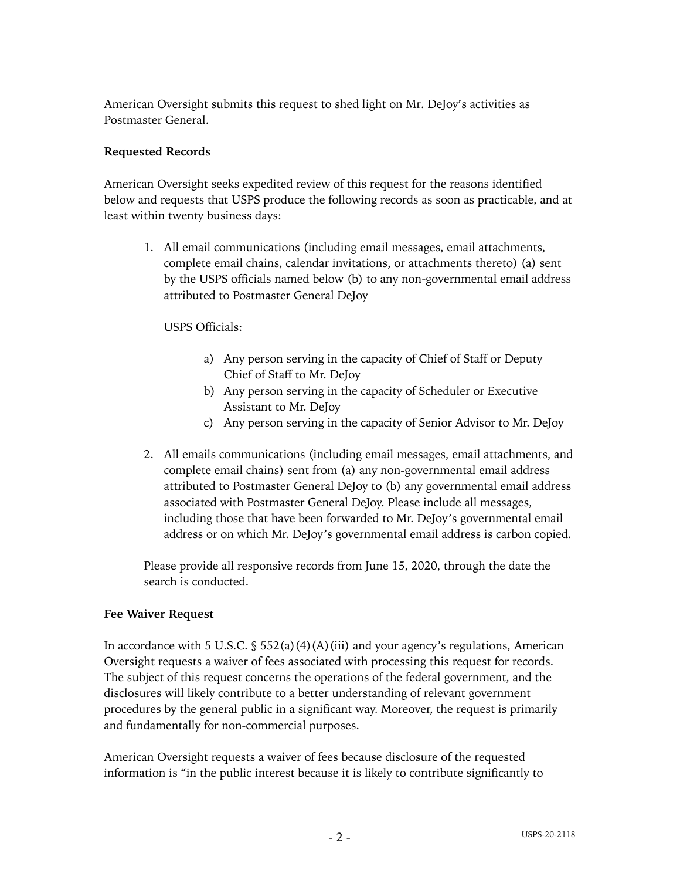American Oversight submits this request to shed light on Mr. DeJoy's activities as Postmaster General.

#### **Requested Records**

American Oversight seeks expedited review of this request for the reasons identified below and requests that USPS produce the following records as soon as practicable, and at least within twenty business days:

1. All email communications (including email messages, email attachments, complete email chains, calendar invitations, or attachments thereto) (a) sent by the USPS officials named below (b) to any non-governmental email address attributed to Postmaster General DeJoy

USPS Officials:

- a) Any person serving in the capacity of Chief of Staff or Deputy Chief of Staff to Mr. DeJoy
- b) Any person serving in the capacity of Scheduler or Executive Assistant to Mr. DeJoy
- c) Any person serving in the capacity of Senior Advisor to Mr. DeJoy
- 2. All emails communications (including email messages, email attachments, and complete email chains) sent from (a) any non-governmental email address attributed to Postmaster General DeJoy to (b) any governmental email address associated with Postmaster General DeJoy. Please include all messages, including those that have been forwarded to Mr. DeJoy's governmental email address or on which Mr. DeJoy's governmental email address is carbon copied.

Please provide all responsive records from June 15, 2020, through the date the search is conducted.

#### **Fee Waiver Request**

In accordance with 5 U.S.C.  $\frac{1}{5}$  552(a)(4)(A)(iii) and your agency's regulations, American Oversight requests a waiver of fees associated with processing this request for records. The subject of this request concerns the operations of the federal government, and the disclosures will likely contribute to a better understanding of relevant government procedures by the general public in a significant way. Moreover, the request is primarily and fundamentally for non-commercial purposes.

American Oversight requests a waiver of fees because disclosure of the requested information is "in the public interest because it is likely to contribute significantly to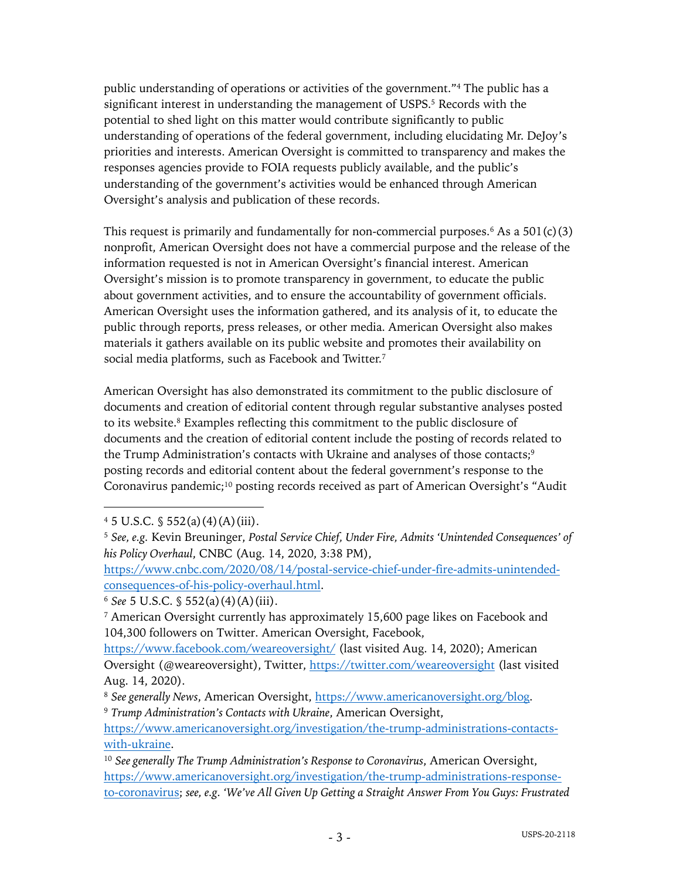public understanding of operations or activities of the government."4 The public has a significant interest in understanding the management of USPS. <sup>5</sup> Records with the potential to shed light on this matter would contribute significantly to public understanding of operations of the federal government, including elucidating Mr. DeJoy's priorities and interests. American Oversight is committed to transparency and makes the responses agencies provide to FOIA requests publicly available, and the public's understanding of the government's activities would be enhanced through American Oversight's analysis and publication of these records.

This request is primarily and fundamentally for non-commercial purposes.<sup>6</sup> As a  $501(c)(3)$ nonprofit, American Oversight does not have a commercial purpose and the release of the information requested is not in American Oversight's financial interest. American Oversight's mission is to promote transparency in government, to educate the public about government activities, and to ensure the accountability of government officials. American Oversight uses the information gathered, and its analysis of it, to educate the public through reports, press releases, or other media. American Oversight also makes materials it gathers available on its public website and promotes their availability on social media platforms, such as Facebook and Twitter.7

American Oversight has also demonstrated its commitment to the public disclosure of documents and creation of editorial content through regular substantive analyses posted to its website.8 Examples reflecting this commitment to the public disclosure of documents and the creation of editorial content include the posting of records related to the Trump Administration's contacts with Ukraine and analyses of those contacts;<sup>9</sup> posting records and editorial content about the federal government's response to the Coronavirus pandemic;<sup>10</sup> posting records received as part of American Oversight's "Audit

https://www.cnbc.com/2020/08/14/postal-service-chief-under-fire-admits-unintendedconsequences-of-his-policy-overhaul.html.

 $4\,5\,$  U.S.C.  $\frac{6}{3}\,552(a)(4)(A)(iii)$ .

<sup>5</sup> *See, e.g.* Kevin Breuninger, *Postal Service Chief, Under Fire, Admits 'Unintended Consequences' of his Policy Overhaul*, CNBC (Aug. 14, 2020, 3:38 PM),

<sup>6</sup> *See* 5 U.S.C. § 552(a)(4)(A)(iii).

<sup>7</sup> American Oversight currently has approximately 15,600 page likes on Facebook and 104,300 followers on Twitter. American Oversight, Facebook,

https://www.facebook.com/weareoversight/ (last visited Aug. 14, 2020); American Oversight (@weareoversight), Twitter, https://twitter.com/weareoversight (last visited Aug. 14, 2020).

<sup>8</sup> *See generally News*, American Oversight, https://www.americanoversight.org/blog. <sup>9</sup> *Trump Administration's Contacts with Ukraine*, American Oversight,

https://www.americanoversight.org/investigation/the-trump-administrations-contactswith-ukraine.

<sup>10</sup> *See generally The Trump Administration's Response to Coronavirus*, American Oversight, https://www.americanoversight.org/investigation/the-trump-administrations-responseto-coronavirus; *see, e.g. 'We've All Given Up Getting a Straight Answer From You Guys: Frustrated*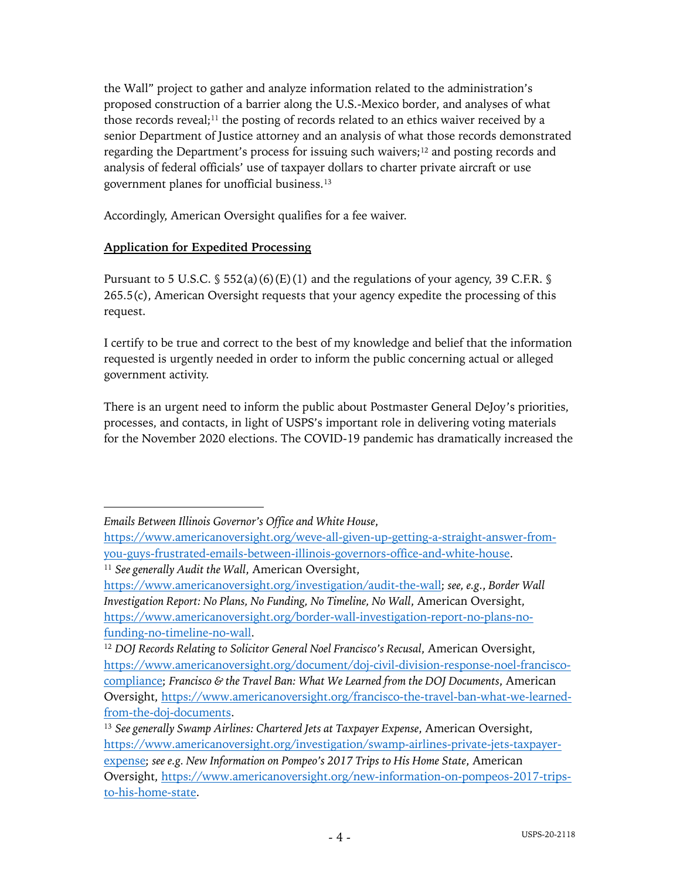the Wall" project to gather and analyze information related to the administration's proposed construction of a barrier along the U.S.-Mexico border, and analyses of what those records reveal;<sup>11</sup> the posting of records related to an ethics waiver received by a senior Department of Justice attorney and an analysis of what those records demonstrated regarding the Department's process for issuing such waivers; $12$  and posting records and analysis of federal officials' use of taxpayer dollars to charter private aircraft or use government planes for unofficial business.13

Accordingly, American Oversight qualifies for a fee waiver.

## **Application for Expedited Processing**

Pursuant to 5 U.S.C.  $\frac{1}{5}$  552(a)(6)(E)(1) and the regulations of your agency, 39 C.F.R.  $\frac{1}{5}$ 265.5(c), American Oversight requests that your agency expedite the processing of this request.

I certify to be true and correct to the best of my knowledge and belief that the information requested is urgently needed in order to inform the public concerning actual or alleged government activity.

There is an urgent need to inform the public about Postmaster General DeJoy's priorities, processes, and contacts, in light of USPS's important role in delivering voting materials for the November 2020 elections. The COVID-19 pandemic has dramatically increased the

*Emails Between Illinois Governor's Office and White House*,

https://www.americanoversight.org/weve-all-given-up-getting-a-straight-answer-fromyou-guys-frustrated-emails-between-illinois-governors-office-and-white-house. <sup>11</sup> *See generally Audit the Wall*, American Oversight,

https://www.americanoversight.org/investigation/audit-the-wall; *see, e.g.*, *Border Wall Investigation Report: No Plans, No Funding, No Timeline, No Wall*, American Oversight, https://www.americanoversight.org/border-wall-investigation-report-no-plans-nofunding-no-timeline-no-wall.

<sup>12</sup> *DOJ Records Relating to Solicitor General Noel Francisco's Recusal*, American Oversight, https://www.americanoversight.org/document/doj-civil-division-response-noel-franciscocompliance; *Francisco & the Travel Ban: What We Learned from the DOJ Documents*, American Oversight, https://www.americanoversight.org/francisco-the-travel-ban-what-we-learnedfrom-the-doj-documents.

<sup>13</sup> *See generally Swamp Airlines: Chartered Jets at Taxpayer Expense*, American Oversight, https://www.americanoversight.org/investigation/swamp-airlines-private-jets-taxpayerexpense; *see e.g. New Information on Pompeo's 2017 Trips to His Home State*, American Oversight, https://www.americanoversight.org/new-information-on-pompeos-2017-tripsto-his-home-state.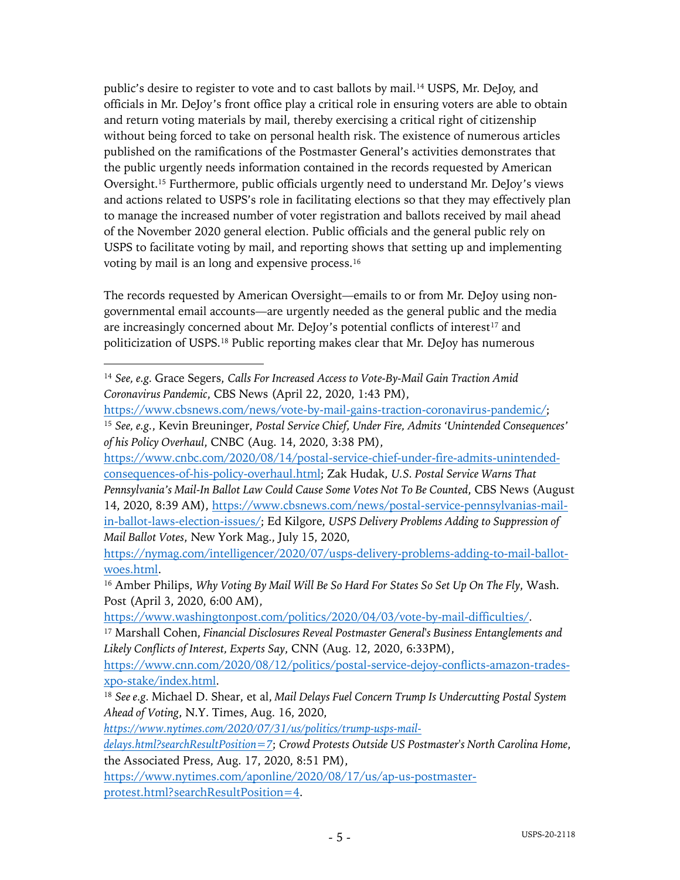public's desire to register to vote and to cast ballots by mail.14 USPS, Mr. DeJoy, and officials in Mr. DeJoy's front office play a critical role in ensuring voters are able to obtain and return voting materials by mail, thereby exercising a critical right of citizenship without being forced to take on personal health risk. The existence of numerous articles published on the ramifications of the Postmaster General's activities demonstrates that the public urgently needs information contained in the records requested by American Oversight.15 Furthermore, public officials urgently need to understand Mr. DeJoy's views and actions related to USPS's role in facilitating elections so that they may effectively plan to manage the increased number of voter registration and ballots received by mail ahead of the November 2020 general election. Public officials and the general public rely on USPS to facilitate voting by mail, and reporting shows that setting up and implementing voting by mail is an long and expensive process.16

The records requested by American Oversight—emails to or from Mr. DeJoy using nongovernmental email accounts—are urgently needed as the general public and the media are increasingly concerned about Mr. DeJoy's potential conflicts of interest<sup>17</sup> and politicization of USPS.18 Public reporting makes clear that Mr. DeJoy has numerous

https://www.cbsnews.com/news/vote-by-mail-gains-traction-coronavirus-pandemic/; <sup>15</sup> *See, e.g.*, Kevin Breuninger, *Postal Service Chief, Under Fire, Admits 'Unintended Consequences' of his Policy Overhaul*, CNBC (Aug. 14, 2020, 3:38 PM),

https://www.cnbc.com/2020/08/14/postal-service-chief-under-fire-admits-unintendedconsequences-of-his-policy-overhaul.html; Zak Hudak, *U.S. Postal Service Warns That Pennsylvania's Mail-In Ballot Law Could Cause Some Votes Not To Be Counted*, CBS News (August 14, 2020, 8:39 AM), https://www.cbsnews.com/news/postal-service-pennsylvanias-mailin-ballot-laws-election-issues/; Ed Kilgore, *USPS Delivery Problems Adding to Suppression of Mail Ballot Votes*, New York Mag., July 15, 2020,

https://nymag.com/intelligencer/2020/07/usps-delivery-problems-adding-to-mail-ballotwoes.html.

<sup>16</sup> Amber Philips, *Why Voting By Mail Will Be So Hard For States So Set Up On The Fly*, Wash. Post (April 3, 2020, 6:00 AM),

<sup>17</sup> Marshall Cohen, *Financial Disclosures Reveal Postmaster General's Business Entanglements and Likely Conflicts of Interest, Experts Say*, CNN (Aug. 12, 2020, 6:33PM),

https://www.cnn.com/2020/08/12/politics/postal-service-dejoy-conflicts-amazon-tradesxpo-stake/index.html.

*https://www.nytimes.com/2020/07/31/us/politics/trump-usps-mail-*

*delays.html?searchResultPosition=7*; *Crowd Protests Outside US Postmaster's North Carolina Home*, the Associated Press, Aug. 17, 2020, 8:51 PM),

https://www.nytimes.com/aponline/2020/08/17/us/ap-us-postmasterprotest.html?searchResultPosition=4.

<sup>14</sup> *See, e.g.* Grace Segers, *Calls For Increased Access to Vote-By-Mail Gain Traction Amid Coronavirus Pandemic*, CBS News (April 22, 2020, 1:43 PM),

https://www.washingtonpost.com/politics/2020/04/03/vote-by-mail-difficulties/.

<sup>18</sup> *See e.g.* Michael D. Shear, et al, *Mail Delays Fuel Concern Trump Is Undercutting Postal System Ahead of Voting*, N.Y. Times, Aug. 16, 2020,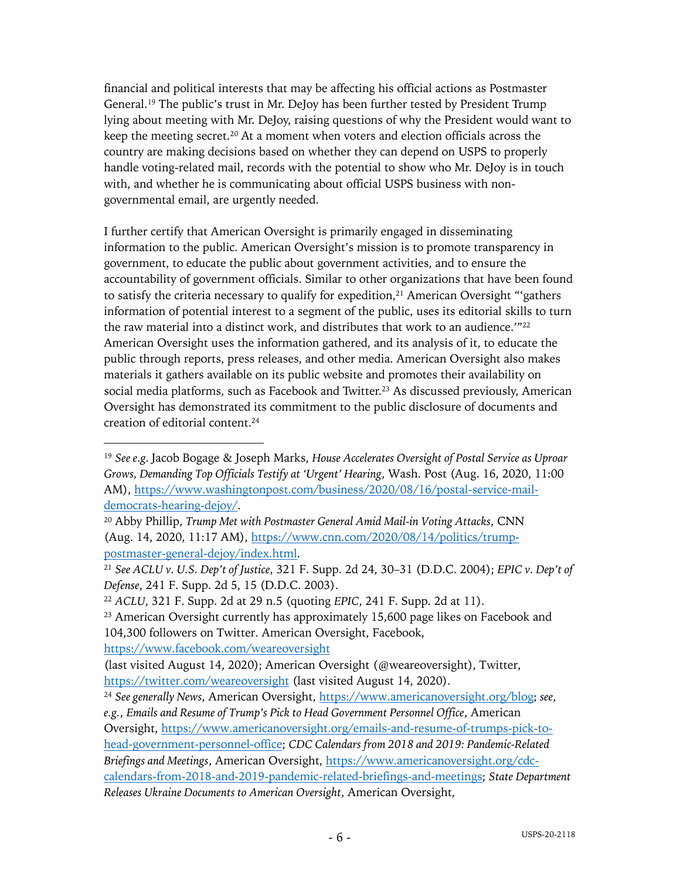financial and political interests that may be affecting his official actions as Postmaster General.19 The public's trust in Mr. DeJoy has been further tested by President Trump lying about meeting with Mr. DeJoy, raising questions of why the President would want to keep the meeting secret.20 At a moment when voters and election officials across the country are making decisions based on whether they can depend on USPS to properly handle voting-related mail, records with the potential to show who Mr. DeJoy is in touch with, and whether he is communicating about official USPS business with nongovernmental email, are urgently needed.

I further certify that American Oversight is primarily engaged in disseminating information to the public. American Oversight's mission is to promote transparency in government, to educate the public about government activities, and to ensure the accountability of government officials. Similar to other organizations that have been found to satisfy the criteria necessary to qualify for expedition, $21$  American Oversight "'gathers information of potential interest to a segment of the public, uses its editorial skills to turn the raw material into a distinct work, and distributes that work to an audience.<sup>'"22</sup> American Oversight uses the information gathered, and its analysis of it, to educate the public through reports, press releases, and other media. American Oversight also makes materials it gathers available on its public website and promotes their availability on social media platforms, such as Facebook and Twitter.<sup>23</sup> As discussed previously, American Oversight has demonstrated its commitment to the public disclosure of documents and creation of editorial content.24

https://www.facebook.com/weareoversight

<sup>19</sup> *See e.g.* Jacob Bogage & Joseph Marks, *House Accelerates Oversight of Postal Service as Uproar Grows, Demanding Top Officials Testify at 'Urgent' Hearing*, Wash. Post (Aug. 16, 2020, 11:00 AM), https://www.washingtonpost.com/business/2020/08/16/postal-service-maildemocrats-hearing-dejoy/.

<sup>20</sup> Abby Phillip, *Trump Met with Postmaster General Amid Mail-in Voting Attacks*, CNN (Aug. 14, 2020, 11:17 AM), https://www.cnn.com/2020/08/14/politics/trumppostmaster-general-dejoy/index.html.

<sup>21</sup> *See ACLU v. U.S. Dep't of Justice*, 321 F. Supp. 2d 24, 30–31 (D.D.C. 2004); *EPIC v. Dep't of Defense*, 241 F. Supp. 2d 5, 15 (D.D.C. 2003).

<sup>22</sup> *ACLU*, 321 F. Supp. 2d at 29 n.5 (quoting *EPIC*, 241 F. Supp. 2d at 11).

<sup>&</sup>lt;sup>23</sup> American Oversight currently has approximately 15,600 page likes on Facebook and 104,300 followers on Twitter. American Oversight, Facebook,

<sup>(</sup>last visited August 14, 2020); American Oversight (@weareoversight), Twitter, https://twitter.com/weareoversight (last visited August 14, 2020).

<sup>24</sup> *See generally News*, American Oversight, https://www.americanoversight.org/blog; *see*, *e.g.*, *Emails and Resume of Trump's Pick to Head Government Personnel Office*, American Oversight, https://www.americanoversight.org/emails-and-resume-of-trumps-pick-tohead-government-personnel-office; *CDC Calendars from 2018 and 2019: Pandemic-Related Briefings and Meetings*, American Oversight, https://www.americanoversight.org/cdccalendars-from-2018-and-2019-pandemic-related-briefings-and-meetings; *State Department Releases Ukraine Documents to American Oversight*, American Oversight,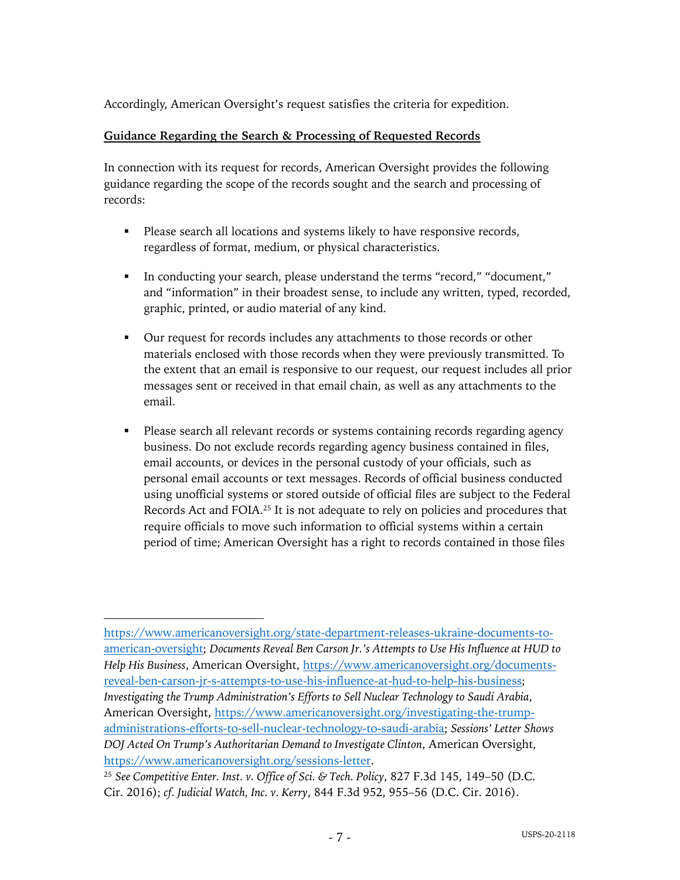Accordingly, American Oversight's request satisfies the criteria for expedition.

#### **Guidance Regarding the Search & Processing of Requested Records**

In connection with its request for records, American Oversight provides the following guidance regarding the scope of the records sought and the search and processing of records:

- Please search all locations and systems likely to have responsive records, regardless of format, medium, or physical characteristics.
- § In conducting your search, please understand the terms "record," "document," and "information" in their broadest sense, to include any written, typed, recorded, graphic, printed, or audio material of any kind.
- § Our request for records includes any attachments to those records or other materials enclosed with those records when they were previously transmitted. To the extent that an email is responsive to our request, our request includes all prior messages sent or received in that email chain, as well as any attachments to the email.
- Please search all relevant records or systems containing records regarding agency business. Do not exclude records regarding agency business contained in files, email accounts, or devices in the personal custody of your officials, such as personal email accounts or text messages. Records of official business conducted using unofficial systems or stored outside of official files are subject to the Federal Records Act and FOIA.25 It is not adequate to rely on policies and procedures that require officials to move such information to official systems within a certain period of time; American Oversight has a right to records contained in those files

https://www.americanoversight.org/state-department-releases-ukraine-documents-toamerican-oversight; *Documents Reveal Ben Carson Jr.'s Attempts to Use His Influence at HUD to Help His Business*, American Oversight, https://www.americanoversight.org/documentsreveal-ben-carson-jr-s-attempts-to-use-his-influence-at-hud-to-help-his-business; *Investigating the Trump Administration's Efforts to Sell Nuclear Technology to Saudi Arabia*, American Oversight, https://www.americanoversight.org/investigating-the-trumpadministrations-efforts-to-sell-nuclear-technology-to-saudi-arabia; *Sessions' Letter Shows DOJ Acted On Trump's Authoritarian Demand to Investigate Clinton*, American Oversight, https://www.americanoversight.org/sessions-letter.

<sup>25</sup> *See Competitive Enter. Inst. v. Office of Sci. & Tech. Policy*, 827 F.3d 145, 149–50 (D.C. Cir. 2016); *cf. Judicial Watch, Inc. v. Kerry*, 844 F.3d 952, 955–56 (D.C. Cir. 2016).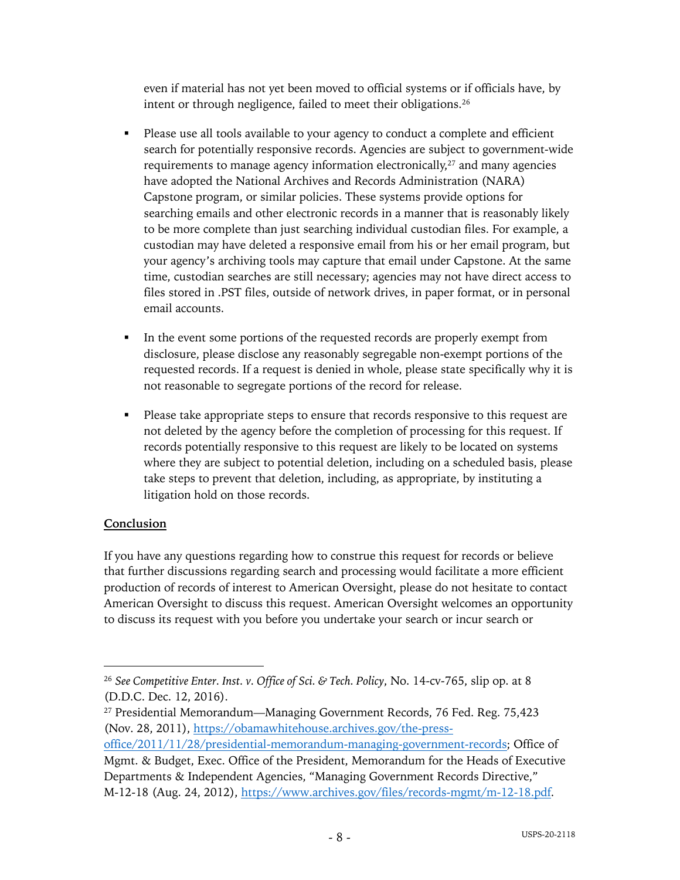even if material has not yet been moved to official systems or if officials have, by intent or through negligence, failed to meet their obligations.26

- Please use all tools available to your agency to conduct a complete and efficient search for potentially responsive records. Agencies are subject to government-wide requirements to manage agency information electronically,<sup>27</sup> and many agencies have adopted the National Archives and Records Administration (NARA) Capstone program, or similar policies. These systems provide options for searching emails and other electronic records in a manner that is reasonably likely to be more complete than just searching individual custodian files. For example, a custodian may have deleted a responsive email from his or her email program, but your agency's archiving tools may capture that email under Capstone. At the same time, custodian searches are still necessary; agencies may not have direct access to files stored in .PST files, outside of network drives, in paper format, or in personal email accounts.
- In the event some portions of the requested records are properly exempt from disclosure, please disclose any reasonably segregable non-exempt portions of the requested records. If a request is denied in whole, please state specifically why it is not reasonable to segregate portions of the record for release.
- § Please take appropriate steps to ensure that records responsive to this request are not deleted by the agency before the completion of processing for this request. If records potentially responsive to this request are likely to be located on systems where they are subject to potential deletion, including on a scheduled basis, please take steps to prevent that deletion, including, as appropriate, by instituting a litigation hold on those records.

## **Conclusion**

If you have any questions regarding how to construe this request for records or believe that further discussions regarding search and processing would facilitate a more efficient production of records of interest to American Oversight, please do not hesitate to contact American Oversight to discuss this request. American Oversight welcomes an opportunity to discuss its request with you before you undertake your search or incur search or

<sup>26</sup> *See Competitive Enter. Inst. v. Office of Sci. & Tech. Policy*, No. 14-cv-765, slip op. at 8 (D.D.C. Dec. 12, 2016).

<sup>27</sup> Presidential Memorandum—Managing Government Records, 76 Fed. Reg. 75,423 (Nov. 28, 2011), https://obamawhitehouse.archives.gov/the-press-

office/2011/11/28/presidential-memorandum-managing-government-records; Office of Mgmt. & Budget, Exec. Office of the President, Memorandum for the Heads of Executive Departments & Independent Agencies, "Managing Government Records Directive," M-12-18 (Aug. 24, 2012), https://www.archives.gov/files/records-mgmt/m-12-18.pdf.